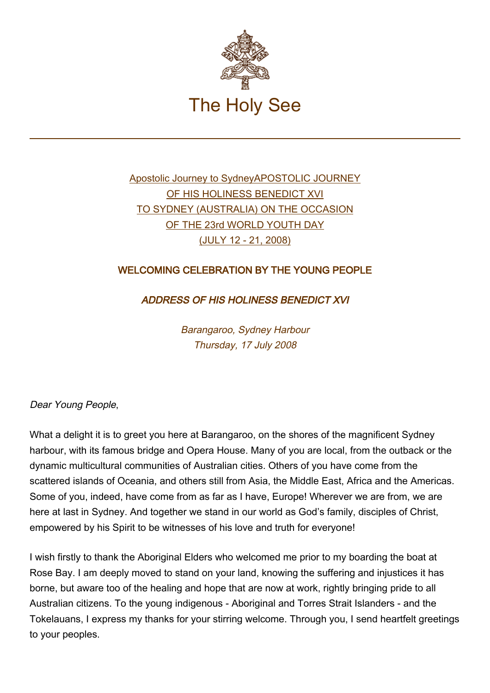

## [Apostolic Journey to SydneyAPOSTOLIC JOURNEY](https://www.vatican.va/content/benedict-xvi/en/travels/2008/outside/documents/australia.html) [OF HIS HOLINESS BENEDICT XVI](https://www.vatican.va/content/benedict-xvi/en/travels/2008/outside/documents/australia.html) [TO SYDNEY \(AUSTRALIA\) ON THE OCCASION](https://www.vatican.va/content/benedict-xvi/en/travels/2008/outside/documents/australia.html) [OF THE 23rd WORLD YOUTH DAY](https://www.vatican.va/content/benedict-xvi/en/travels/2008/outside/documents/australia.html) [\(JULY 12 - 21, 2008\)](https://www.vatican.va/content/benedict-xvi/en/travels/2008/outside/documents/australia.html)

## WELCOMING CELEBRATION BY THE YOUNG PEOPLE

ADDRESS OF HIS HOLINESS BENEDICT XVI

Barangaroo, Sydney Harbour Thursday, 17 July 2008

Dear Young People,

What a delight it is to greet you here at Barangaroo, on the shores of the magnificent Sydney harbour, with its famous bridge and Opera House. Many of you are local, from the outback or the dynamic multicultural communities of Australian cities. Others of you have come from the scattered islands of Oceania, and others still from Asia, the Middle East, Africa and the Americas. Some of you, indeed, have come from as far as I have, Europe! Wherever we are from, we are here at last in Sydney. And together we stand in our world as God's family, disciples of Christ, empowered by his Spirit to be witnesses of his love and truth for everyone!

I wish firstly to thank the Aboriginal Elders who welcomed me prior to my boarding the boat at Rose Bay. I am deeply moved to stand on your land, knowing the suffering and injustices it has borne, but aware too of the healing and hope that are now at work, rightly bringing pride to all Australian citizens. To the young indigenous - Aboriginal and Torres Strait Islanders - and the Tokelauans, I express my thanks for your stirring welcome. Through you, I send heartfelt greetings to your peoples.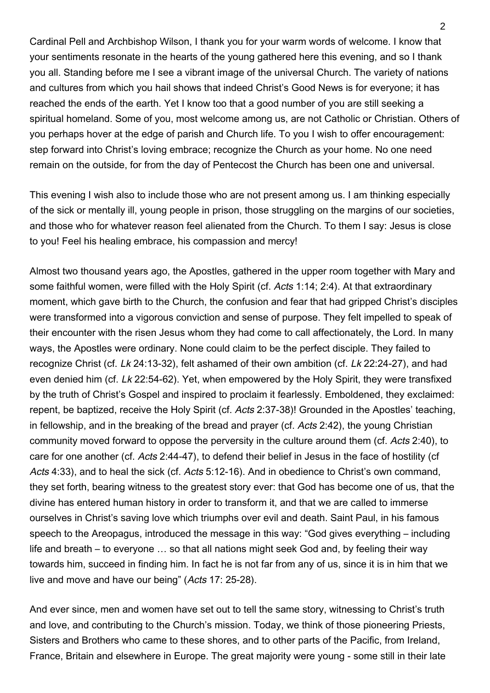Cardinal Pell and Archbishop Wilson, I thank you for your warm words of welcome. I know that your sentiments resonate in the hearts of the young gathered here this evening, and so I thank you all. Standing before me I see a vibrant image of the universal Church. The variety of nations and cultures from which you hail shows that indeed Christ's Good News is for everyone; it has reached the ends of the earth. Yet I know too that a good number of you are still seeking a spiritual homeland. Some of you, most welcome among us, are not Catholic or Christian. Others of you perhaps hover at the edge of parish and Church life. To you I wish to offer encouragement: step forward into Christ's loving embrace; recognize the Church as your home. No one need remain on the outside, for from the day of Pentecost the Church has been one and universal.

This evening I wish also to include those who are not present among us. I am thinking especially of the sick or mentally ill, young people in prison, those struggling on the margins of our societies, and those who for whatever reason feel alienated from the Church. To them I say: Jesus is close to you! Feel his healing embrace, his compassion and mercy!

Almost two thousand years ago, the Apostles, gathered in the upper room together with Mary and some faithful women, were filled with the Holy Spirit (cf. Acts 1:14; 2:4). At that extraordinary moment, which gave birth to the Church, the confusion and fear that had gripped Christ's disciples were transformed into a vigorous conviction and sense of purpose. They felt impelled to speak of their encounter with the risen Jesus whom they had come to call affectionately, the Lord. In many ways, the Apostles were ordinary. None could claim to be the perfect disciple. They failed to recognize Christ (cf. Lk 24:13-32), felt ashamed of their own ambition (cf. Lk 22:24-27), and had even denied him (cf. Lk 22:54-62). Yet, when empowered by the Holy Spirit, they were transfixed by the truth of Christ's Gospel and inspired to proclaim it fearlessly. Emboldened, they exclaimed: repent, be baptized, receive the Holy Spirit (cf. Acts 2:37-38)! Grounded in the Apostles' teaching, in fellowship, and in the breaking of the bread and prayer (cf. Acts 2:42), the young Christian community moved forward to oppose the perversity in the culture around them (cf. Acts 2:40), to care for one another (cf. Acts 2:44-47), to defend their belief in Jesus in the face of hostility (cf Acts 4:33), and to heal the sick (cf. Acts 5:12-16). And in obedience to Christ's own command, they set forth, bearing witness to the greatest story ever: that God has become one of us, that the divine has entered human history in order to transform it, and that we are called to immerse ourselves in Christ's saving love which triumphs over evil and death. Saint Paul, in his famous speech to the Areopagus, introduced the message in this way: "God gives everything – including life and breath – to everyone … so that all nations might seek God and, by feeling their way towards him, succeed in finding him. In fact he is not far from any of us, since it is in him that we live and move and have our being" (Acts 17: 25-28).

And ever since, men and women have set out to tell the same story, witnessing to Christ's truth and love, and contributing to the Church's mission. Today, we think of those pioneering Priests, Sisters and Brothers who came to these shores, and to other parts of the Pacific, from Ireland, France, Britain and elsewhere in Europe. The great majority were young - some still in their late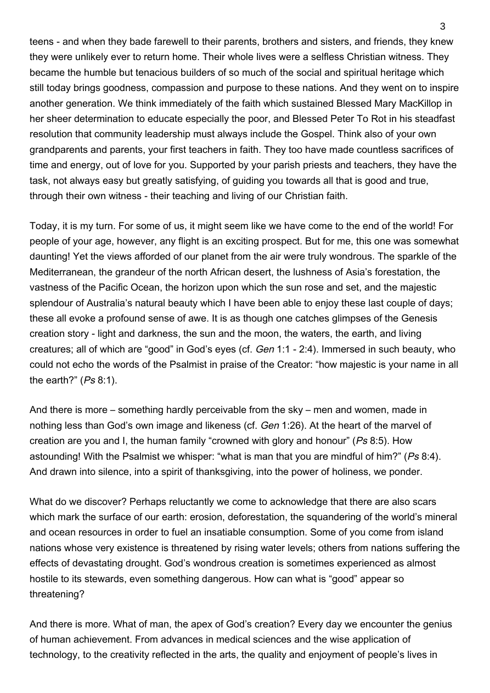teens - and when they bade farewell to their parents, brothers and sisters, and friends, they knew they were unlikely ever to return home. Their whole lives were a selfless Christian witness. They became the humble but tenacious builders of so much of the social and spiritual heritage which still today brings goodness, compassion and purpose to these nations. And they went on to inspire another generation. We think immediately of the faith which sustained Blessed Mary MacKillop in her sheer determination to educate especially the poor, and Blessed Peter To Rot in his steadfast resolution that community leadership must always include the Gospel. Think also of your own grandparents and parents, your first teachers in faith. They too have made countless sacrifices of time and energy, out of love for you. Supported by your parish priests and teachers, they have the task, not always easy but greatly satisfying, of guiding you towards all that is good and true, through their own witness - their teaching and living of our Christian faith.

Today, it is my turn. For some of us, it might seem like we have come to the end of the world! For people of your age, however, any flight is an exciting prospect. But for me, this one was somewhat daunting! Yet the views afforded of our planet from the air were truly wondrous. The sparkle of the Mediterranean, the grandeur of the north African desert, the lushness of Asia's forestation, the vastness of the Pacific Ocean, the horizon upon which the sun rose and set, and the majestic splendour of Australia's natural beauty which I have been able to enjoy these last couple of days; these all evoke a profound sense of awe. It is as though one catches glimpses of the Genesis creation story - light and darkness, the sun and the moon, the waters, the earth, and living creatures; all of which are "good" in God's eyes (cf. Gen 1:1 - 2:4). Immersed in such beauty, who could not echo the words of the Psalmist in praise of the Creator: "how majestic is your name in all the earth?"  $(Ps 8:1)$ .

And there is more – something hardly perceivable from the sky – men and women, made in nothing less than God's own image and likeness (cf. Gen 1:26). At the heart of the marvel of creation are you and I, the human family "crowned with glory and honour" (Ps 8:5). How astounding! With the Psalmist we whisper: "what is man that you are mindful of him?" (Ps 8:4). And drawn into silence, into a spirit of thanksgiving, into the power of holiness, we ponder.

What do we discover? Perhaps reluctantly we come to acknowledge that there are also scars which mark the surface of our earth: erosion, deforestation, the squandering of the world's mineral and ocean resources in order to fuel an insatiable consumption. Some of you come from island nations whose very existence is threatened by rising water levels; others from nations suffering the effects of devastating drought. God's wondrous creation is sometimes experienced as almost hostile to its stewards, even something dangerous. How can what is "good" appear so threatening?

And there is more. What of man, the apex of God's creation? Every day we encounter the genius of human achievement. From advances in medical sciences and the wise application of technology, to the creativity reflected in the arts, the quality and enjoyment of people's lives in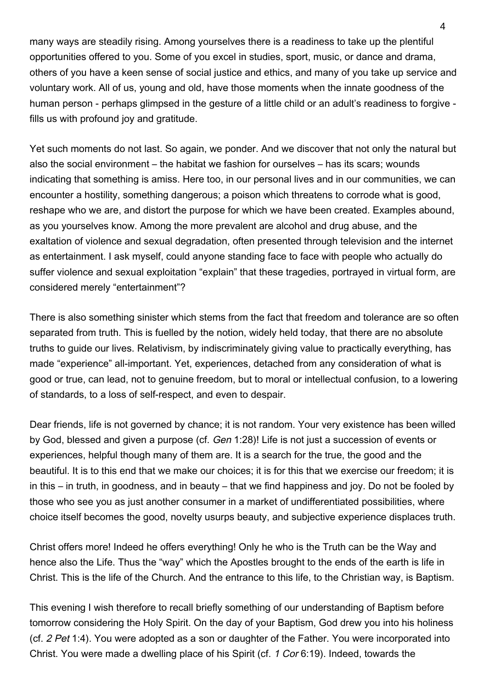many ways are steadily rising. Among yourselves there is a readiness to take up the plentiful opportunities offered to you. Some of you excel in studies, sport, music, or dance and drama, others of you have a keen sense of social justice and ethics, and many of you take up service and voluntary work. All of us, young and old, have those moments when the innate goodness of the human person - perhaps glimpsed in the gesture of a little child or an adult's readiness to forgive fills us with profound joy and gratitude.

Yet such moments do not last. So again, we ponder. And we discover that not only the natural but also the social environment – the habitat we fashion for ourselves – has its scars; wounds indicating that something is amiss. Here too, in our personal lives and in our communities, we can encounter a hostility, something dangerous; a poison which threatens to corrode what is good, reshape who we are, and distort the purpose for which we have been created. Examples abound, as you yourselves know. Among the more prevalent are alcohol and drug abuse, and the exaltation of violence and sexual degradation, often presented through television and the internet as entertainment. I ask myself, could anyone standing face to face with people who actually do suffer violence and sexual exploitation "explain" that these tragedies, portrayed in virtual form, are considered merely "entertainment"?

There is also something sinister which stems from the fact that freedom and tolerance are so often separated from truth. This is fuelled by the notion, widely held today, that there are no absolute truths to guide our lives. Relativism, by indiscriminately giving value to practically everything, has made "experience" all-important. Yet, experiences, detached from any consideration of what is good or true, can lead, not to genuine freedom, but to moral or intellectual confusion, to a lowering of standards, to a loss of self-respect, and even to despair.

Dear friends, life is not governed by chance; it is not random. Your very existence has been willed by God, blessed and given a purpose (cf. Gen 1:28)! Life is not just a succession of events or experiences, helpful though many of them are. It is a search for the true, the good and the beautiful. It is to this end that we make our choices; it is for this that we exercise our freedom; it is in this – in truth, in goodness, and in beauty – that we find happiness and joy. Do not be fooled by those who see you as just another consumer in a market of undifferentiated possibilities, where choice itself becomes the good, novelty usurps beauty, and subjective experience displaces truth.

Christ offers more! Indeed he offers everything! Only he who is the Truth can be the Way and hence also the Life. Thus the "way" which the Apostles brought to the ends of the earth is life in Christ. This is the life of the Church. And the entrance to this life, to the Christian way, is Baptism.

This evening I wish therefore to recall briefly something of our understanding of Baptism before tomorrow considering the Holy Spirit. On the day of your Baptism, God drew you into his holiness (cf. 2 Pet 1:4). You were adopted as a son or daughter of the Father. You were incorporated into Christ. You were made a dwelling place of his Spirit (cf. 1 Cor 6:19). Indeed, towards the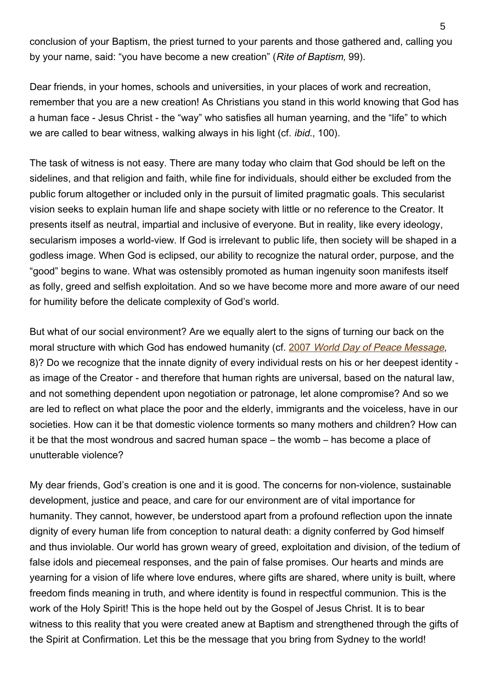conclusion of your Baptism, the priest turned to your parents and those gathered and, calling you by your name, said: "you have become a new creation" (Rite of Baptism, 99).

Dear friends, in your homes, schools and universities, in your places of work and recreation, remember that you are a new creation! As Christians you stand in this world knowing that God has a human face - Jesus Christ - the "way" who satisfies all human yearning, and the "life" to which we are called to bear witness, walking always in his light (cf. *ibid.*, 100).

The task of witness is not easy. There are many today who claim that God should be left on the sidelines, and that religion and faith, while fine for individuals, should either be excluded from the public forum altogether or included only in the pursuit of limited pragmatic goals. This secularist vision seeks to explain human life and shape society with little or no reference to the Creator. It presents itself as neutral, impartial and inclusive of everyone. But in reality, like every ideology, secularism imposes a world-view. If God is irrelevant to public life, then society will be shaped in a godless image. When God is eclipsed, our ability to recognize the natural order, purpose, and the "good" begins to wane. What was ostensibly promoted as human ingenuity soon manifests itself as folly, greed and selfish exploitation. And so we have become more and more aware of our need for humility before the delicate complexity of God's world.

But what of our social environment? Are we equally alert to the signs of turning our back on the moral structure with which God has endowed humanity (cf. [2007](https://www.vatican.va/content/benedict-xvi/en/messages/peace/documents/hf_ben-xvi_mes_20061208_xl-world-day-peace.html) World Day of Peace Message, 8)? Do we recognize that the innate dignity of every individual rests on his or her deepest identity as image of the Creator - and therefore that human rights are universal, based on the natural law, and not something dependent upon negotiation or patronage, let alone compromise? And so we are led to reflect on what place the poor and the elderly, immigrants and the voiceless, have in our societies. How can it be that domestic violence torments so many mothers and children? How can it be that the most wondrous and sacred human space – the womb – has become a place of unutterable violence?

My dear friends, God's creation is one and it is good. The concerns for non-violence, sustainable development, justice and peace, and care for our environment are of vital importance for humanity. They cannot, however, be understood apart from a profound reflection upon the innate dignity of every human life from conception to natural death: a dignity conferred by God himself and thus inviolable. Our world has grown weary of greed, exploitation and division, of the tedium of false idols and piecemeal responses, and the pain of false promises. Our hearts and minds are yearning for a vision of life where love endures, where gifts are shared, where unity is built, where freedom finds meaning in truth, and where identity is found in respectful communion. This is the work of the Holy Spirit! This is the hope held out by the Gospel of Jesus Christ. It is to bear witness to this reality that you were created anew at Baptism and strengthened through the gifts of the Spirit at Confirmation. Let this be the message that you bring from Sydney to the world!